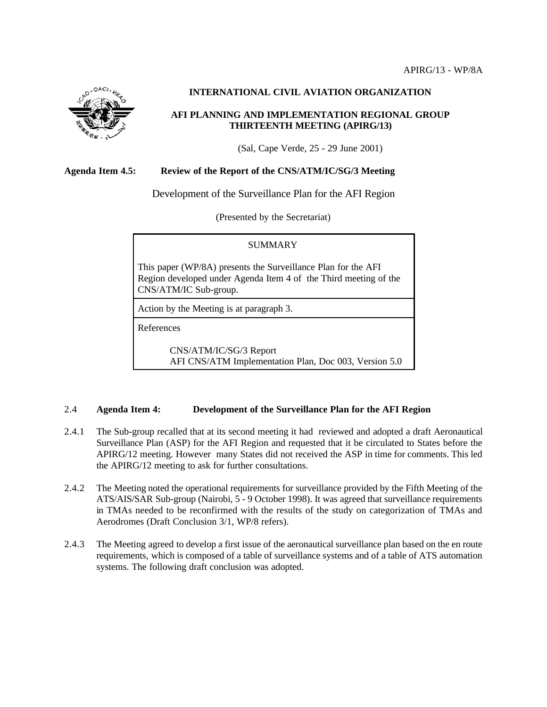

# **INTERNATIONAL CIVIL AVIATION ORGANIZATION**

# **AFI PLANNING AND IMPLEMENTATION REGIONAL GROUP THIRTEENTH MEETING (APIRG/13)**

(Sal, Cape Verde, 25 - 29 June 2001)

#### **Agenda Item 4.5: Review of the Report of the CNS/ATM/IC/SG/3 Meeting**

Development of the Surveillance Plan for the AFI Region

(Presented by the Secretariat)

## SUMMARY

This paper (WP/8A) presents the Surveillance Plan for the AFI Region developed under Agenda Item 4 of the Third meeting of the CNS/ATM/IC Sub-group.

Action by the Meeting is at paragraph 3.

References

CNS/ATM/IC/SG/3 Report AFI CNS/ATM Implementation Plan, Doc 003, Version 5.0

### 2.4 **Agenda Item 4: Development of the Surveillance Plan for the AFI Region**

- 2.4.1 The Sub-group recalled that at its second meeting it had reviewed and adopted a draft Aeronautical Surveillance Plan (ASP) for the AFI Region and requested that it be circulated to States before the APIRG/12 meeting. However many States did not received the ASP in time for comments. This led the APIRG/12 meeting to ask for further consultations.
- 2.4.2 The Meeting noted the operational requirements for surveillance provided by the Fifth Meeting of the ATS/AIS/SAR Sub-group (Nairobi, 5 - 9 October 1998). It was agreed that surveillance requirements in TMAs needed to be reconfirmed with the results of the study on categorization of TMAs and Aerodromes (Draft Conclusion 3/1, WP/8 refers).
- 2.4.3 The Meeting agreed to develop a first issue of the aeronautical surveillance plan based on the en route requirements, which is composed of a table of surveillance systems and of a table of ATS automation systems. The following draft conclusion was adopted.